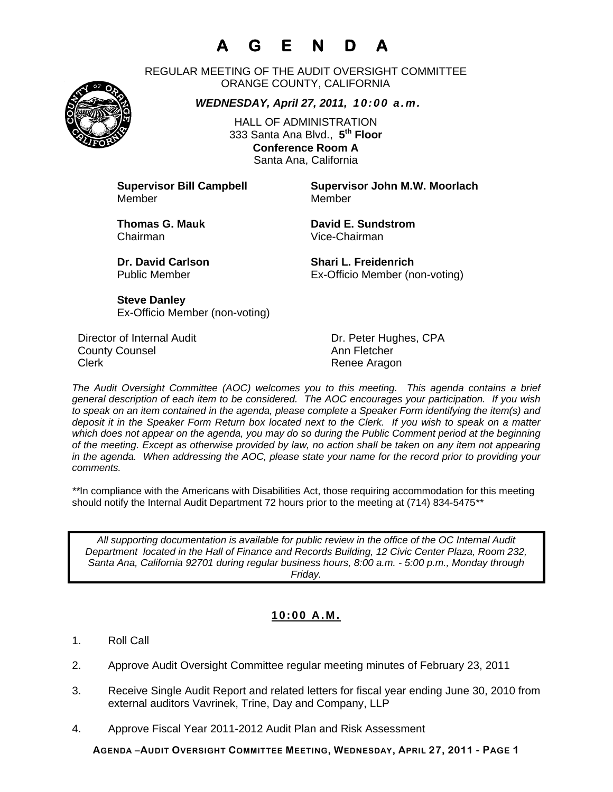# **A G E N D A**

REGULAR MEETING OF THE AUDIT OVERSIGHT COMMITTEE ORANGE COUNTY, CALIFORNIA

*WEDNESDAY, April 27, 2011, 10:00 a.m.*

HALL OF ADMINISTRATION 333 Santa Ana Blvd., **5th Floor Conference Room A**  Santa Ana, California

Member Member

**Supervisor Bill Campbell Supervisor John M.W. Moorlach**

Chairman Vice-Chairman

**Thomas G. Mauk Communist Communist Communist Communist Communist Communist Communist Communist Communist Communist Communist Communist Communist Communist Communist Communist Communist Communist Communist Communist Commun** 

**Dr. David Carlson Shari L. Freidenrich** 

Public Member Ex-Officio Member (non-voting)

**Steve Danley** Ex-Officio Member (non-voting)

Director of Internal Audit **Dr. Peter Hughes, CPA County Counsel Countillist County Counsel Ann Fletcher** Clerk **Clerk Renee Aragon** 

*The Audit Oversight Committee (AOC) welcomes you to this meeting. This agenda contains a brief general description of each item to be considered. The AOC encourages your participation. If you wish to speak on an item contained in the agenda, please complete a Speaker Form identifying the item(s) and deposit it in the Speaker Form Return box located next to the Clerk. If you wish to speak on a matter which does not appear on the agenda, you may do so during the Public Comment period at the beginning of the meeting. Except as otherwise provided by law, no action shall be taken on any item not appearing in the agenda. When addressing the AOC, please state your name for the record prior to providing your comments.* 

*\*\**In compliance with the Americans with Disabilities Act, those requiring accommodation for this meeting should notify the Internal Audit Department 72 hours prior to the meeting at (714) 834-5475*\*\** 

*All supporting documentation is available for public review in the office of the OC Internal Audit Department located in the Hall of Finance and Records Building, 12 Civic Center Plaza, Room 232, Santa Ana, California 92701 during regular business hours, 8:00 a.m. - 5:00 p.m., Monday through Friday.* 

### **10:00 A.M.**

- 1. Roll Call
- 2. Approve Audit Oversight Committee regular meeting minutes of February 23, 2011
- 3. Receive Single Audit Report and related letters for fiscal year ending June 30, 2010 from external auditors Vavrinek, Trine, Day and Company, LLP
- 4. Approve Fiscal Year 2011-2012 Audit Plan and Risk Assessment

**AGENDA –AUDIT OVERSIGHT COMMITTEE MEETING, WEDNESDAY, APRIL 27, 2011 - PAGE 1**